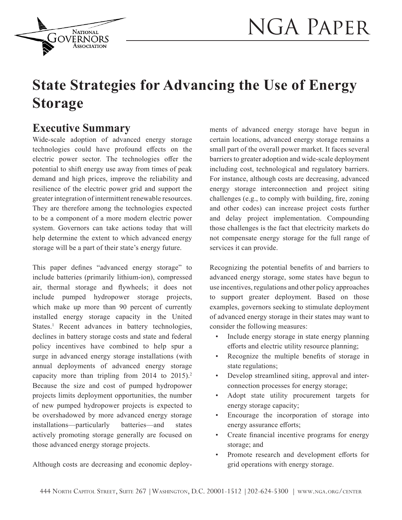

# **State Strategies for Advancing the Use of Energy Storage**

### **Executive Summary**

**NATIONAL** GOVERNORS

Wide-scale adoption of advanced energy storage technologies could have profound effects on the electric power sector. The technologies offer the potential to shift energy use away from times of peak demand and high prices, improve the reliability and resilience of the electric power grid and support the greater integration of intermittent renewable resources. They are therefore among the technologies expected to be a component of a more modern electric power system. Governors can take actions today that will help determine the extent to which advanced energy storage will be a part of their state's energy future.

This paper defines "advanced energy storage" to include batteries (primarily lithium-ion), compressed air, thermal storage and flywheels; it does not include pumped hydropower storage projects, which make up more than 90 percent of currently installed energy storage capacity in the United States.<sup>1</sup> Recent advances in battery technologies, declines in battery storage costs and state and federal policy incentives have combined to help spur a surge in advanced energy storage installations (with annual deployments of advanced energy storage capacity more than tripling from 2014 to 2015).<sup>2</sup> Because the size and cost of pumped hydropower projects limits deployment opportunities, the number of new pumped hydropower projects is expected to be overshadowed by more advanced energy storage installations—particularly batteries—and states actively promoting storage generally are focused on those advanced energy storage projects.

Although costs are decreasing and economic deploy-

ments of advanced energy storage have begun in certain locations, advanced energy storage remains a small part of the overall power market. It faces several barriers to greater adoption and wide-scale deployment including cost, technological and regulatory barriers. For instance, although costs are decreasing, advanced energy storage interconnection and project siting challenges (e.g., to comply with building, fire, zoning and other codes) can increase project costs further and delay project implementation. Compounding those challenges is the fact that electricity markets do not compensate energy storage for the full range of services it can provide.

Recognizing the potential benefits of and barriers to advanced energy storage, some states have begun to use incentives, regulations and other policy approaches to support greater deployment. Based on those examples, governors seeking to stimulate deployment of advanced energy storage in their states may want to consider the following measures:

- Include energy storage in state energy planning efforts and electric utility resource planning;
- Recognize the multiple benefits of storage in state regulations;
- Develop streamlined siting, approval and interconnection processes for energy storage;
- Adopt state utility procurement targets for energy storage capacity;
- Encourage the incorporation of storage into energy assurance efforts;
- Create financial incentive programs for energy storage; and
- Promote research and development efforts for grid operations with energy storage.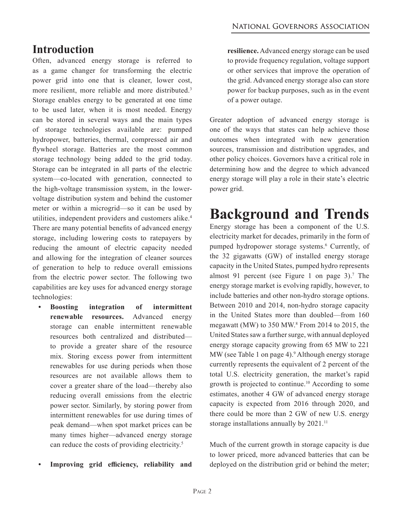## **Introduction**

Often, advanced energy storage is referred to as a game changer for transforming the electric power grid into one that is cleaner, lower cost, more resilient, more reliable and more distributed.3 Storage enables energy to be generated at one time to be used later, when it is most needed. Energy can be stored in several ways and the main types of storage technologies available are: pumped hydropower, batteries, thermal, compressed air and flywheel storage. Batteries are the most common storage technology being added to the grid today. Storage can be integrated in all parts of the electric system—co-located with generation, connected to the high-voltage transmission system, in the lowervoltage distribution system and behind the customer meter or within a microgrid—so it can be used by utilities, independent providers and customers alike.4 There are many potential benefits of advanced energy storage, including lowering costs to ratepayers by reducing the amount of electric capacity needed and allowing for the integration of cleaner sources of generation to help to reduce overall emissions from the electric power sector. The following two capabilities are key uses for advanced energy storage technologies:

- **• Boosting integration of intermittent renewable resources.** Advanced energy storage can enable intermittent renewable resources both centralized and distributed to provide a greater share of the resource mix. Storing excess power from intermittent renewables for use during periods when those resources are not available allows them to cover a greater share of the load—thereby also reducing overall emissions from the electric power sector. Similarly, by storing power from intermittent renewables for use during times of peak demand—when spot market prices can be many times higher—advanced energy storage can reduce the costs of providing electricity.5
- **• Improving grid efficiency, reliability and**

**resilience.** Advanced energy storage can be used to provide frequency regulation, voltage support or other services that improve the operation of the grid. Advanced energy storage also can store power for backup purposes, such as in the event of a power outage.

Greater adoption of advanced energy storage is one of the ways that states can help achieve those outcomes when integrated with new generation sources, transmission and distribution upgrades, and other policy choices. Governors have a critical role in determining how and the degree to which advanced energy storage will play a role in their state's electric power grid.

# **Background and Trends**

Energy storage has been a component of the U.S. electricity market for decades, primarily in the form of pumped hydropower storage systems.<sup>6</sup> Currently, of the 32 gigawatts (GW) of installed energy storage capacity in the United States, pumped hydro represents almost 91 percent (see Figure 1 on page  $3$ ).<sup>7</sup> The energy storage market is evolving rapidly, however, to include batteries and other non-hydro storage options. Between 2010 and 2014, non-hydro storage capacity in the United States more than doubled—from 160 megawatt (MW) to 350 MW.8 From 2014 to 2015, the United States saw a further surge, with annual deployed energy storage capacity growing from 65 MW to 221 MW (see Table 1 on page 4).<sup>9</sup> Although energy storage currently represents the equivalent of 2 percent of the total U.S. electricity generation, the market's rapid growth is projected to continue.10 According to some estimates, another 4 GW of advanced energy storage capacity is expected from 2016 through 2020, and there could be more than 2 GW of new U.S. energy storage installations annually by 2021.<sup>11</sup>

Much of the current growth in storage capacity is due to lower priced, more advanced batteries that can be deployed on the distribution grid or behind the meter;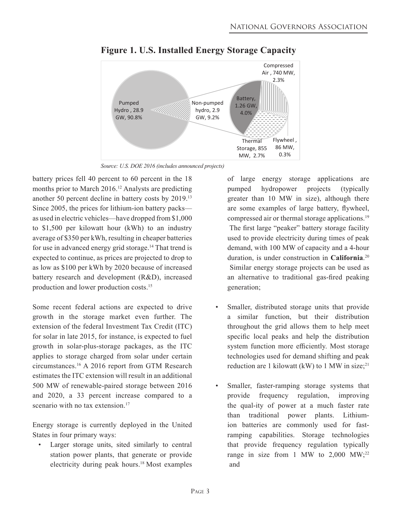

**Figure 1. U.S. Installed Energy Storage Capacity** 

*Source: U.S. DOE 2016 (includes announced projects)*

battery prices fell 40 percent to 60 percent in the 18 months prior to March 2016.<sup>12</sup> Analysts are predicting another 50 percent decline in battery costs by 2019.13 Since 2005, the prices for lithium-ion battery packs as used in electric vehicles—have dropped from \$1,000 to \$1,500 per kilowatt hour (kWh) to an industry average of \$350 per kWh, resulting in cheaper batteries for use in advanced energy grid storage.<sup>14</sup> That trend is expected to continue, as prices are projected to drop to as low as \$100 per kWh by 2020 because of increased battery research and development (R&D), increased production and lower production costs.15

Some recent federal actions are expected to drive growth in the storage market even further. The extension of the federal Investment Tax Credit (ITC) for solar in late 2015, for instance, is expected to fuel growth in solar-plus-storage packages, as the ITC applies to storage charged from solar under certain circumstances.16 A 2016 report from GTM Research estimates the ITC extension will result in an additional 500 MW of renewable-paired storage between 2016 and 2020, a 33 percent increase compared to a scenario with no tax extension.<sup>17</sup>

Energy storage is currently deployed in the United States in four primary ways:

Larger storage units, sited similarly to central station power plants, that generate or provide electricity during peak hours.18 Most examples

of large energy storage applications are pumped hydropower projects (typically greater than 10 MW in size), although there are some examples of large battery, flywheel, compressed air or thermal storage applications.<sup>19</sup> The first large "peaker" battery storage facility used to provide electricity during times of peak demand, with 100 MW of capacity and a 4-hour duration, is under construction in **California**. 20 Similar energy storage projects can be used as an alternative to traditional gas-fired peaking generation;

- Smaller, distributed storage units that provide a similar function, but their distribution throughout the grid allows them to help meet specific local peaks and help the distribution system function more efficiently. Most storage technologies used for demand shifting and peak reduction are 1 kilowatt (kW) to 1 MW in size;<sup>21</sup>
- Smaller, faster-ramping storage systems that provide frequency regulation, improving the qual-ity of power at a much faster rate than traditional power plants. Lithiumion batteries are commonly used for fastramping capabilities. Storage technologies that provide frequency regulation typically range in size from 1 MW to  $2,000$  MW;<sup>22</sup> and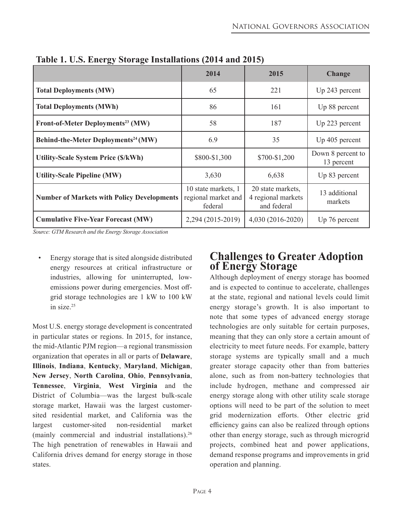| ◡<br>o                                            | 2014                                                  | 2015                                                   | <b>Change</b>                   |
|---------------------------------------------------|-------------------------------------------------------|--------------------------------------------------------|---------------------------------|
| <b>Total Deployments (MW)</b>                     | 65                                                    | 221                                                    | Up 243 percent                  |
| <b>Total Deployments (MWh)</b>                    | 86                                                    | 161                                                    | Up 88 percent                   |
| Front-of-Meter Deployments <sup>23</sup> (MW)     | 58                                                    | 187                                                    | Up 223 percent                  |
| Behind-the-Meter Deployments <sup>24</sup> (MW)   | 6.9                                                   | 35                                                     | Up 405 percent                  |
| <b>Utility-Scale System Price (\$/kWh)</b>        | \$800-\$1,300                                         | \$700-\$1,200                                          | Down 8 percent to<br>13 percent |
| <b>Utility-Scale Pipeline (MW)</b>                | 3,630                                                 | 6,638                                                  | Up 83 percent                   |
| <b>Number of Markets with Policy Developments</b> | 10 state markets, 1<br>regional market and<br>federal | 20 state markets,<br>4 regional markets<br>and federal | 13 additional<br>markets        |
| <b>Cumulative Five-Year Forecast (MW)</b>         | 2,294 (2015-2019)                                     | 4,030 (2016-2020)                                      | Up 76 percent                   |

**Table 1. U.S. Energy Storage Installations (2014 and 2015)**

*Source: GTM Research and the Energy Storage Association*

• Energy storage that is sited alongside distributed energy resources at critical infrastructure or industries, allowing for uninterrupted, lowemissions power during emergencies. Most offgrid storage technologies are 1 kW to 100 kW in size.25

Most U.S. energy storage development is concentrated in particular states or regions. In 2015, for instance, the mid-Atlantic PJM region—a regional transmission organization that operates in all or parts of **Delaware**, **Illinois**, **Indiana**, **Kentucky**, **Maryland**, **Michigan**, **New Jersey**, **North Carolina**, **Ohio**, **Pennsylvania**, **Tennessee**, **Virginia**, **West Virginia** and the District of Columbia—was the largest bulk-scale storage market, Hawaii was the largest customersited residential market, and California was the largest customer-sited non-residential market (mainly commercial and industrial installations).26 The high penetration of renewables in Hawaii and California drives demand for energy storage in those states.

### **Challenges to Greater Adoption of Energy Storage**

Although deployment of energy storage has boomed and is expected to continue to accelerate, challenges at the state, regional and national levels could limit energy storage's growth. It is also important to note that some types of advanced energy storage technologies are only suitable for certain purposes, meaning that they can only store a certain amount of electricity to meet future needs. For example, battery storage systems are typically small and a much greater storage capacity other than from batteries alone, such as from non-battery technologies that include hydrogen, methane and compressed air energy storage along with other utility scale storage options will need to be part of the solution to meet grid modernization efforts. Other electric grid efficiency gains can also be realized through options other than energy storage, such as through microgrid projects, combined heat and power applications, demand response programs and improvements in grid operation and planning.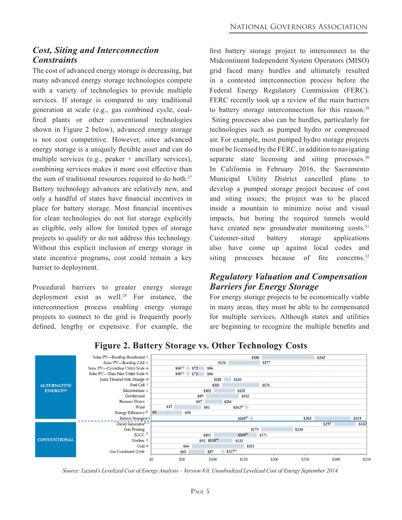#### *Cost, Siting and Interconnection Constraints*

The cost of advanced energy storage is decreasing, but many advanced energy storage technologies compete with a variety of technologies to provide multiple services. If storage is compared to any traditional generation at scale (e.g., gas combined cycle, coalfired plants or other conventional technologies shown in Figure 2 below), advanced energy storage is not cost competitive. However, since advanced energy storage is a uniquely flexible asset and can do multiple services (e.g., peaker + ancillary services), combining services makes it more cost effective than the sum of traditional resources required to do both.<sup>27</sup> Battery technology advances are relatively new, and only a handful of states have financial incentives in place for battery storage. Most financial incentives for clean technologies do not list storage explicitly as eligible, only allow for limited types of storage projects to qualify or do not address this technology. Without this explicit inclusion of energy storage in state incentive programs, cost could remain a key barrier to deployment.

Procedural barriers to greater energy storage deployment exist as well.<sup>28</sup> For instance, the interconnection process enabling energy storage projects to connect to the grid is frequently poorly defined, lengthy or expensive. For example, the first battery storage project to interconnect to the Midcontinent Independent System Operators (MISO) grid faced many hurdles and ultimately resulted in a contested interconnection process before the Federal Energy Regulatory Commission (FERC). FERC recently took up a review of the main barriers to battery storage interconnection for this reason.<sup>29</sup> Siting processes also can be hurdles, particularly for technologies such as pumped hydro or compressed air. For example, most pumped hydro storage projects must be licensed by the FERC, in addition to navigating separate state licensing and siting processes.<sup>30</sup> In California in February 2016, the Sacramento Municipal Utility District cancelled plans to develop a pumped storage project because of cost and siting issues; the project was to be placed inside a mountain to minimize noise and visual impacts, but boring the required tunnels would have created new groundwater monitoring costs.<sup>31</sup> Customer-sited battery storage applications also have come up against local codes and siting processes because of fire concerns.<sup>32</sup>

#### *Regulatory Valuation and Compensation Barriers for Energy Storage*

For energy storage projects to be economically viable in many areas, they must be able to be compensated for multiple services. Although states and utilities are beginning to recognize the multiple benefits and



#### **Figure 2. Battery Storage vs. Other Technology Costs**

*Source: Lazard's Levelized Cost of Energy Analysis – Version 8.0, Unsubsidized Levelized Cost of Energy September 2014.*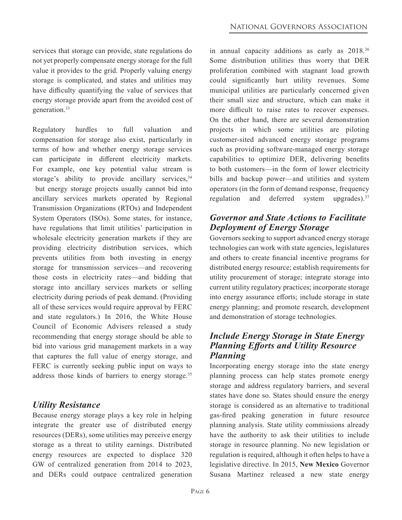services that storage can provide, state regulations do not yet properly compensate energy storage for the full value it provides to the grid. Properly valuing energy storage is complicated, and states and utilities may have difficulty quantifying the value of services that energy storage provide apart from the avoided cost of generation.33

Regulatory hurdles to full valuation and compensation for storage also exist, particularly in terms of how and whether energy storage services can participate in different electricity markets. For example, one key potential value stream is storage's ability to provide ancillary services,  $34$  but energy storage projects usually cannot bid into ancillary services markets operated by Regional Transmission Organizations (RTOs) and Independent System Operators (ISOs). Some states, for instance, have regulations that limit utilities' participation in wholesale electricity generation markets if they are providing electricity distribution services, which prevents utilities from both investing in energy storage for transmission services—and recovering those costs in electricity rates—and bidding that storage into ancillary services markets or selling electricity during periods of peak demand. (Providing all of these services would require approval by FERC and state regulators.) In 2016, the White House Council of Economic Advisers released a study recommending that energy storage should be able to bid into various grid management markets in a way that captures the full value of energy storage, and FERC is currently seeking public input on ways to address those kinds of barriers to energy storage.<sup>35</sup>

#### *Utility Resistance*

Because energy storage plays a key role in helping integrate the greater use of distributed energy resources (DERs), some utilities may perceive energy storage as a threat to utility earnings. Distributed energy resources are expected to displace 320 GW of centralized generation from 2014 to 2023, and DERs could outpace centralized generation

in annual capacity additions as early as 2018.<sup>36</sup> Some distribution utilities thus worry that DER proliferation combined with stagnant load growth could significantly hurt utility revenues. Some municipal utilities are particularly concerned given their small size and structure, which can make it more difficult to raise rates to recover expenses. On the other hand, there are several demonstration projects in which some utilities are piloting customer-sited advanced energy storage programs such as providing software-managed energy storage capabilities to optimize DER, delivering benefits to both customers—in the form of lower electricity bills and backup power—and utilities and system operators (in the form of demand response, frequency regulation and deferred system upgrades). $37$ 

#### *Governor and State Actions to Facilitate Deployment of Energy Storage*

Governors seeking to support advanced energy storage technologies can work with state agencies, legislatures and others to create financial incentive programs for distributed energy resource; establish requirements for utility procurement of storage; integrate storage into current utility regulatory practices; incorporate storage into energy assurance efforts; include storage in state energy planning; and promote research, development and demonstration of storage technologies.

#### *Include Energy Storage in State Energy Planning Efforts and Utility Resource Planning*

Incorporating energy storage into the state energy planning process can help states promote energy storage and address regulatory barriers, and several states have done so. States should ensure the energy storage is considered as an alternative to traditional gas-fired peaking generation in future resource planning analysis. State utility commissions already have the authority to ask their utilities to include storage in resource planning. No new legislation or regulation is required, although it often helps to have a legislative directive. In 2015, **New Mexico** Governor Susana Martinez released a new state energy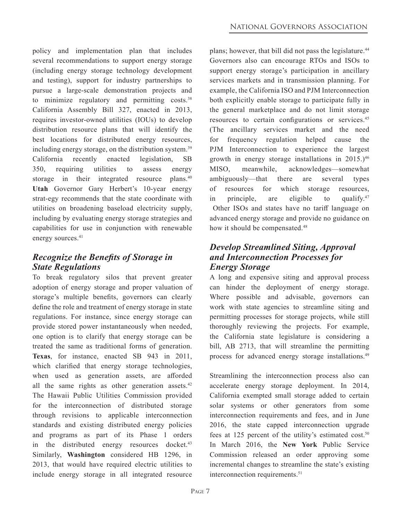policy and implementation plan that includes several recommendations to support energy storage (including energy storage technology development and testing), support for industry partnerships to pursue a large-scale demonstration projects and to minimize regulatory and permitting  $costs$ .<sup>38</sup> California Assembly Bill 327, enacted in 2013, requires investor-owned utilities (IOUs) to develop distribution resource plans that will identify the best locations for distributed energy resources, including energy storage, on the distribution system.<sup>39</sup> California recently enacted legislation, SB 350, requiring utilities to assess energy storage in their integrated resource plans.<sup>40</sup> **Utah** Governor Gary Herbert's 10-year energy strat-egy recommends that the state coordinate with utilities on broadening baseload electricity supply, including by evaluating energy storage strategies and capabilities for use in conjunction with renewable energy sources.<sup>41</sup>

#### *Recognize the Benefits of Storage in State Regulations*

To break regulatory silos that prevent greater adoption of energy storage and proper valuation of storage's multiple benefits, governors can clearly define the role and treatment of energy storage in state regulations. For instance, since energy storage can provide stored power instantaneously when needed, one option is to clarify that energy storage can be treated the same as traditional forms of generation. **Texas**, for instance, enacted SB 943 in 2011, which clarified that energy storage technologies, when used as generation assets, are afforded all the same rights as other generation assets.<sup>42</sup> The Hawaii Public Utilities Commission provided for the interconnection of distributed storage through revisions to applicable interconnection standards and existing distributed energy policies and programs as part of its Phase 1 orders in the distributed energy resources docket.<sup>43</sup> Similarly, **Washington** considered HB 1296, in 2013, that would have required electric utilities to include energy storage in all integrated resource

plans; however, that bill did not pass the legislature.<sup>44</sup> Governors also can encourage RTOs and ISOs to support energy storage's participation in ancillary services markets and in transmission planning. For example, the California ISO and PJM Interconnection both explicitly enable storage to participate fully in the general marketplace and do not limit storage resources to certain configurations or services.<sup>45</sup> (The ancillary services market and the need for frequency regulation helped cause the PJM Interconnection to experience the largest growth in energy storage installations in  $2015$ .)<sup>46</sup> MISO, meanwhile, acknowledges—somewhat ambiguously—that there are several types of resources for which storage resources, in principle, are eligible to qualify.<sup>47</sup> Other ISOs and states have no tariff language on advanced energy storage and provide no guidance on how it should be compensated.<sup>48</sup>

#### *Develop Streamlined Siting, Approval and Interconnection Processes for Energy Storage*

A long and expensive siting and approval process can hinder the deployment of energy storage. Where possible and advisable, governors can work with state agencies to streamline siting and permitting processes for storage projects, while still thoroughly reviewing the projects. For example, the California state legislature is considering a bill, AB 2713, that will streamline the permitting process for advanced energy storage installations.<sup>49</sup>

Streamlining the interconnection process also can accelerate energy storage deployment. In 2014, California exempted small storage added to certain solar systems or other generators from some interconnection requirements and fees, and in June 2016, the state capped interconnection upgrade fees at 125 percent of the utility's estimated cost.<sup>50</sup> In March 2016, the **New York** Public Service Commission released an order approving some incremental changes to streamline the state's existing interconnection requirements.<sup>51</sup>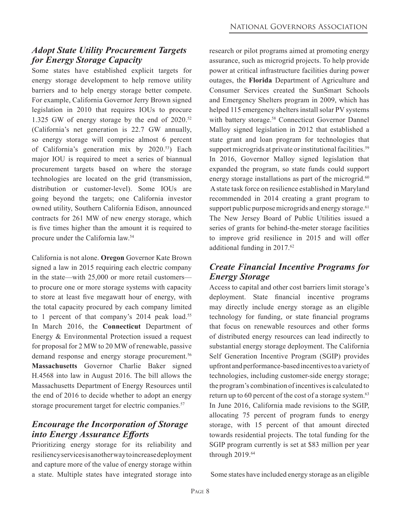#### *Adopt State Utility Procurement Targets for Energy Storage Capacity*

Some states have established explicit targets for energy storage development to help remove utility barriers and to help energy storage better compete. For example, California Governor Jerry Brown signed legislation in 2010 that requires IOUs to procure 1.325 GW of energy storage by the end of  $2020$ .<sup>52</sup> (California's net generation is 22.7 GW annually, so energy storage will comprise almost 6 percent of California's generation mix by 2020.53) Each major IOU is required to meet a series of biannual procurement targets based on where the storage technologies are located on the grid (transmission, distribution or customer-level). Some IOUs are going beyond the targets; one California investor owned utility, Southern California Edison, announced contracts for 261 MW of new energy storage, which is five times higher than the amount it is required to procure under the California law.54

California is not alone. **Oregon** Governor Kate Brown signed a law in 2015 requiring each electric company in the state—with 25,000 or more retail customers to procure one or more storage systems with capacity to store at least five megawatt hour of energy, with the total capacity procured by each company limited to 1 percent of that company's 2014 peak load.<sup>55</sup> In March 2016, the **Connecticut** Department of Energy & Environmental Protection issued a request for proposal for 2 MW to 20 MW of renewable, passive demand response and energy storage procurement.<sup>56</sup> **Massachusetts** Governor Charlie Baker signed H.4568 into law in August 2016. The bill allows the Massachusetts Department of Energy Resources until the end of 2016 to decide whether to adopt an energy storage procurement target for electric companies.<sup>57</sup>

#### *Encourage the Incorporation of Storage into Energy Assurance Efforts*

Prioritizing energy storage for its reliability and resiliency services is another way to increase deployment and capture more of the value of energy storage within a state. Multiple states have integrated storage into research or pilot programs aimed at promoting energy assurance, such as microgrid projects. To help provide power at critical infrastructure facilities during power outages, the **Florida** Department of Agriculture and Consumer Services created the SunSmart Schools and Emergency Shelters program in 2009, which has helped 115 emergency shelters install solar PV systems with battery storage.<sup>58</sup> Connecticut Governor Dannel Malloy signed legislation in 2012 that established a state grant and loan program for technologies that support microgrids at private or institutional facilities.<sup>59</sup> In 2016, Governor Malloy signed legislation that expanded the program, so state funds could support energy storage installations as part of the microgrid. $60$  A state task force on resilience established in Maryland recommended in 2014 creating a grant program to support public purpose microgrids and energy storage. $61$ The New Jersey Board of Public Utilities issued a series of grants for behind-the-meter storage facilities to improve grid resilience in 2015 and will offer additional funding in 2017.62

#### *Create Financial Incentive Programs for Energy Storage*

Access to capital and other cost barriers limit storage's deployment. State financial incentive programs may directly include energy storage as an eligible technology for funding, or state financial programs that focus on renewable resources and other forms of distributed energy resources can lead indirectly to substantial energy storage deployment. The California Self Generation Incentive Program (SGIP) provides upfront and performance-based incentives to a variety of technologies, including customer-side energy storage; the program's combination of incentives is calculated to return up to 60 percent of the cost of a storage system. $63$ In June 2016, California made revisions to the SGIP, allocating 75 percent of program funds to energy storage, with 15 percent of that amount directed towards residential projects. The total funding for the SGIP program currently is set at \$83 million per year through 2019.64

Some states have included energy storage as an eligible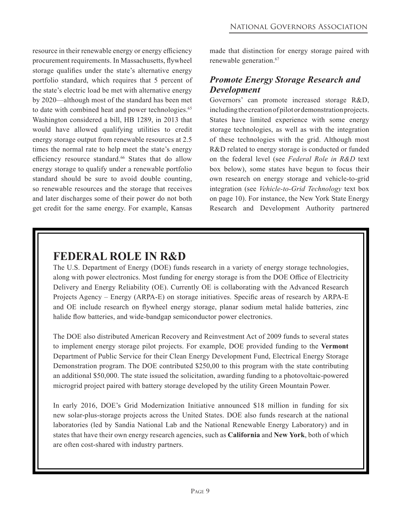resource in their renewable energy or energy efficiency procurement requirements. In Massachusetts, flywheel storage qualifies under the state's alternative energy portfolio standard, which requires that 5 percent of the state's electric load be met with alternative energy by 2020—although most of the standard has been met to date with combined heat and power technologies.<sup>65</sup> Washington considered a bill, HB 1289, in 2013 that would have allowed qualifying utilities to credit energy storage output from renewable resources at 2.5 times the normal rate to help meet the state's energy efficiency resource standard.<sup>66</sup> States that do allow energy storage to qualify under a renewable portfolio standard should be sure to avoid double counting, so renewable resources and the storage that receives and later discharges some of their power do not both get credit for the same energy. For example, Kansas

made that distinction for energy storage paired with renewable generation.<sup>67</sup>

#### *Promote Energy Storage Research and Development*

Governors' can promote increased storage R&D, including the creation of pilot or demonstration projects. States have limited experience with some energy storage technologies, as well as with the integration of these technologies with the grid. Although most R&D related to energy storage is conducted or funded on the federal level (see *Federal Role in R&D* text box below), some states have begun to focus their own research on energy storage and vehicle-to-grid integration (see *Vehicle-to-Grid Technology* text box on page 10). For instance, the New York State Energy Research and Development Authority partnered

## **FEDERAL ROLE IN R&D**

The U.S. Department of Energy (DOE) funds research in a variety of energy storage technologies, along with power electronics. Most funding for energy storage is from the DOE Office of Electricity Delivery and Energy Reliability (OE). Currently OE is collaborating with the Advanced Research Projects Agency – Energy (ARPA-E) on storage initiatives. Specific areas of research by ARPA-E and OE include research on flywheel energy storage, planar sodium metal halide batteries, zinc halide flow batteries, and wide-bandgap semiconductor power electronics.

The DOE also distributed American Recovery and Reinvestment Act of 2009 funds to several states to implement energy storage pilot projects. For example, DOE provided funding to the **Vermont** Department of Public Service for their Clean Energy Development Fund, Electrical Energy Storage Demonstration program. The DOE contributed \$250,00 to this program with the state contributing an additional \$50,000. The state issued the solicitation, awarding funding to a photovoltaic-powered microgrid project paired with battery storage developed by the utility Green Mountain Power.

In early 2016, DOE's Grid Modernization Initiative announced \$18 million in funding for six new solar-plus-storage projects across the United States. DOE also funds research at the national laboratories (led by Sandia National Lab and the National Renewable Energy Laboratory) and in states that have their own energy research agencies, such as **California** and **New York**, both of which are often cost-shared with industry partners.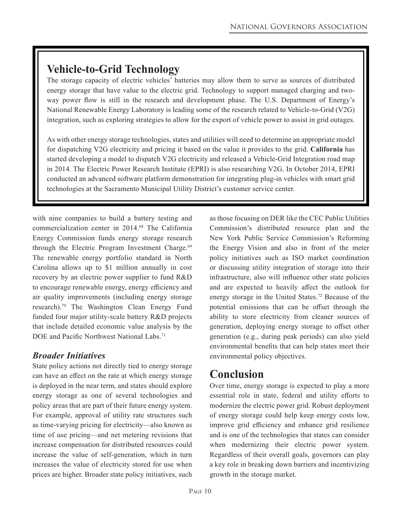## **Vehicle-to-Grid Technology**

The storage capacity of electric vehicles' batteries may allow them to serve as sources of distributed energy storage that have value to the electric grid. Technology to support managed charging and twoway power flow is still in the research and development phase. The U.S. Department of Energy's National Renewable Energy Laboratory is leading some of the research related to Vehicle-to-Grid (V2G) integration, such as exploring strategies to allow for the export of vehicle power to assist in grid outages.

As with other energy storage technologies, states and utilities will need to determine an appropriate model for dispatching V2G electricity and pricing it based on the value it provides to the grid. **California** has started developing a model to dispatch V2G electricity and released a Vehicle-Grid Integration road map in 2014. The Electric Power Research Institute (EPRI) is also researching V2G. In October 2014, EPRI conducted an advanced software platform demonstration for integrating plug-in vehicles with smart grid technologies at the Sacramento Municipal Utility District's customer service center.

with nine companies to build a battery testing and commercialization center in 2014.68 The California Energy Commission funds energy storage research through the Electric Program Investment Charge.<sup>69</sup> The renewable energy portfolio standard in North Carolina allows up to \$1 million annually in cost recovery by an electric power supplier to fund R&D to encourage renewable energy, energy efficiency and air quality improvements (including energy storage research).70 The Washington Clean Energy Fund funded four major utility-scale battery R&D projects that include detailed economic value analysis by the DOE and Pacific Northwest National Labs.<sup>71</sup>

#### *Broader Initiatives*

State policy actions not directly tied to energy storage can have an effect on the rate at which energy storage is deployed in the near term, and states should explore energy storage as one of several technologies and policy areas that are part of their future energy system. For example, approval of utility rate structures such as time-varying pricing for electricity—also known as time of use pricing—and net metering revisions that increase compensation for distributed resources could increase the value of self-generation, which in turn increases the value of electricity stored for use when prices are higher. Broader state policy initiatives, such

as those focusing on DER like the CEC Public Utilities Commission's distributed resource plan and the New York Public Service Commission's Reforming the Energy Vision and also in front of the meter policy initiatives such as ISO market coordination or discussing utility integration of storage into their infrastructure, also will influence other state policies and are expected to heavily affect the outlook for energy storage in the United States.72 Because of the potential emissions that can be offset through the ability to store electricity from cleaner sources of generation, deploying energy storage to offset other generation (e.g., during peak periods) can also yield environmental benefits that can help states meet their environmental policy objectives.

## **Conclusion**

Over time, energy storage is expected to play a more essential role in state, federal and utility efforts to modernize the electric power grid. Robust deployment of energy storage could help keep energy costs low, improve grid efficiency and enhance grid resilience and is one of the technologies that states can consider when modernizing their electric power system. Regardless of their overall goals, governors can play a key role in breaking down barriers and incentivizing growth in the storage market.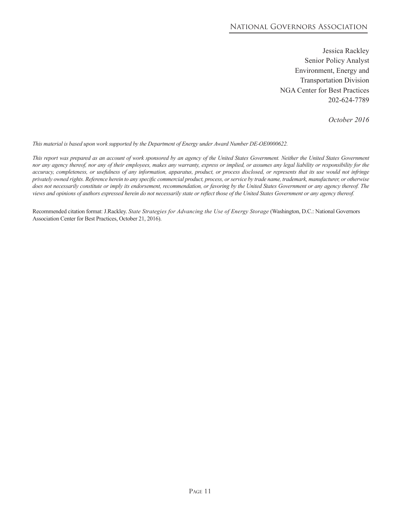#### National Governors Association

Jessica Rackley Senior Policy Analyst Environment, Energy and Transportation Division NGA Center for Best Practices 202-624-7789

*October 2016*

*This material is based upon work supported by the Department of Energy under Award Number DE-OE0000622.*

This report was prepared as an account of work sponsored by an agency of the United States Government. Neither the United States Government *nor any agency thereof, nor any of their employees, makes any warranty, express or implied, or assumes any legal liability or responsibility for the accuracy, completeness, or usefulness of any information, apparatus, product, or process disclosed, or represents that its use would not infringe privately owned rights. Reference herein to any specific commercial product, process, or service by trade name, trademark, manufacturer, or otherwise does not necessarily constitute or imply its endorsement, recommendation, or favoring by the United States Government or any agency thereof. The views and opinions of authors expressed herein do not necessarily state or reflect those of the United States Government or any agency thereof.*

Recommended citation format: J.Rackley. *State Strategies for Advancing the Use of Energy Storage* (Washington, D.C.: National Governors Association Center for Best Practices, October 21, 2016).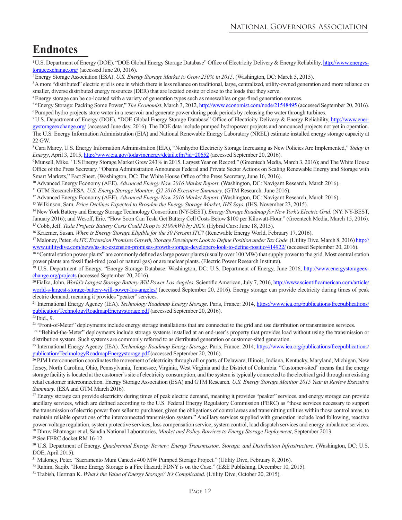## **Endnotes**

<sup>1</sup>[U.S. Department of Energy \(DOE\). "DOE Global Energy Storage Database" Office of Electricity Delivery & Energy Reliability,](http://www.energystorageexchange.org/) http://www.energystorageexchange.org/ (accessed June 20, 2016).

2 Energy Storage Association (ESA). *U.S. Energy Storage Market to Grow 250% in 2015*. (Washington, DC: March 5, 2015).

<sup>3</sup>A more "distributed" electric grid is one in which there is less reliance on traditional, large, centralized, utility-owned generation and more reliance on smaller, diverse distributed energy resources (DER) that are located onsite or close to the loads that they serve.

<sup>4</sup>Energy storage can be co-located with a variety of generation types such as renewables or gas-fired generation sources.

<sup>5</sup>"Energy Storage: Packing Some Power," *The Economist*, March 3, 2012, http://www.economist.com/node/21548495 (accessed September 20, 2016). <sup>6</sup> Pumped hydro projects store water in a reservoir and generate power during peak periods by releasing the water through turbines.<br><sup>7</sup> U.S. Department of Energy (DOE). "DOE Global Energy Storage Database" Office of Elect

[gystorageexchange.org/ \(accessed June day, 2016\). The DOE data include pumped hydropower projects and announced projects not yet in operation.](http://www.energystorageexchange.org/) The U.S. Energy Information Administration (EIA) and National Renewable Energy Laboratory (NREL) estimate installed energy storage capacity at 22 GW.

<sup>8</sup>Cara Marcy, U.S. Energy Information Administration (EIA), "Nonhydro Electricity Storage Increasing as New Policies Are Implemented," *Today in Energy*, April 3, 2015, http://www.eia.gov/todayinenergy/detail.cfm?id=20652 (accessed September 20, 2016).

9 Munsell, Mike*. "*US Energy Storage Market Grew 243% in 2015, Largest Year on Record." (Greentech Media, March 3, 2016); and The White House Office of the Press Secretary. "Obama Administration Announces Federal and Private Sector Actions on Scaling Renewable Energy and Storage with Smart Markets," Fact Sheet. (Washington, DC: The White House Office of the Press Secretary, June 16, 2016).

10 Advanced Energy Economy (AEE). *Advanced Energy Now 2016 Market Report*. (Washington, DC: Navigant Research, March 2016).

<sup>11</sup> GTM Research/ESA. U.S. Energy Storage Monitor: Q2 2016 Executive Summary. (GTM Research: June 2016).<br><sup>12</sup> Advanced Energy Economy (AEE). Advanced Energy Now 2016 Market Report. (Washington, DC: Navigant Research, Marc

<sup>13</sup> Wilkinson, Sam. Price Declines Expected to Broaden the Energy Storage Market, IHS Says. (IHS, November 23, 2015).<br><sup>14</sup> New York Battery and Energy Storage Technology Consortium (NY-BEST). *Energy Storage Roadmap for N* 

January 2016); and Wesoff, Eric. "How Soon Can Tesla Get Battery Cell Costs Below \$100 per Kilowatt-Hour." (Greentech Media, March 15, 2016).

<sup>15</sup> Cobb, Jeff. *Tesla Projects Battery Costs Could Drop to \$100/kWh by 2020*. (Hybrid Cars: June 18, 2015).<br><sup>16</sup> Kraemer, Susan. *When is Energy Storage Eligible for the 30 Percent ITC?* (Renewable Energy World, Februar

<sup>17</sup> Maloney, Peter. *As ITC Extension Promises Growth, Storage Developers Look to Define Position under Tax Code.* (Utility Dive, March 8, 2016) http://

www.utilitydive.com/news/as-itc-extension-promises-growth-storage-developers-look-to-define-positio/414922/ (accessed September 20, 2016).<br><sup>18</sup> "Central station power plants" are commonly defined as large power plants (usu power plants are fossil fuel-fired (coal or natural gas) or are nuclear plants. (Electric Power Research Institute).

<sup>19</sup> [U.S. Department of Energy. "Energy Storage Database. Washington, DC: U.S. Department of Energy, June 2016,](http://www.energystorageexchange.org/projects) http://www.energystorageexchange.org/projects (accessed September 20, 2016). 20 Fialka, John. *World's Largest Storage Battery Will Power Los Angeles*. Scientific American, July 7, 2016, http://www.scientificamerican.com/article/

[world-s-largest-storage-battery-will-power-los-angeles/ \(accessed September 20, 2016\). Energy storage can provide electricity during times of peak](https://www.scientificamerican.com/article/world-s-largest-storage-battery-will-power-los-angeles/)  electric demand, meaning it provides "peaker" services.

21 International Energy Agency (IEA). *Technology Roadmap Energy Storage*. Paris, France: 2014, https://www.iea.org/publications/freepublications/ [publication/TechnologyRoadmapEnergystorage.pdf \(accessed September 20, 2016\).](https://www.iea.org/publications/freepublications/publication/TechnologyRoadmapEnergystorage.pdf) 22 Ibid., 9.

<sup>23</sup> "Front-of-Meter" deployments include energy storage installations that are connected to the grid and use distribution or transmission services.

<sup>24</sup> "Behind-the-Meter" deployments include storage systems installed at an end-user's property that provides load without using the transmission or distribution system. Such systems are commonly referred to as distributed generation or customer-sited generation.

25 International Energy Agency (IEA). *Technology Roadmap Energy Storage*. Paris, France: 2014, https://www.iea.org/publications/freepublications/ publication/TechnologyRoadmapEnergystorage.pdf (accessed September 20, 2016).<br><sup>26</sup> PJM Interconnection coordinates the movement of electricity through all or parts of Delaware, Illinois, Indiana, Kentucky, Maryland, Michig

Jersey, North Carolina, Ohio, Pennsylvania, Tennessee, Virginia, West Virginia and the District of Columbia. "Customer-sited" means that the energy storage facility is located at the customer's site of electricity consumption, and the system is typically connected to the electrical grid through an existing retail customer interconnection. Energy Storage Association (ESA) and GTM Research*. U.S. Energy Storage Monitor 2015 Year in Review Executive Summary*. (ESA and GTM March 2016).

<sup>27</sup> Energy storage can provide electricity during times of peak electric demand, meaning it provides "peaker" services, and energy storage can provide ancillary services, which are defined according to the U.S. Federal Energy Regulatory Commission (FERC) as "those services necessary to support the transmission of electric power from seller to purchaser, given the obligations of control areas and transmitting utilities within those control areas, to maintain reliable operations of the interconnected transmission system." Ancillary services supplied with generation include load following, reactive power-voltage regulation, system protective services, loss compensation service, system control, load dispatch services and energy imbalance services. 28 Dhruv Bhatnagar et al, Sandia National Laboratories, *Market and Policy Barriers to Energy Storage Deployment*, September 2013.

29 See FERC docket RM 16-12.

30 U.S. Department of Energy. *Quadrennial Energy Review: Energy Transmission, Storage, and Distribution Infrastructure*. (Washington, DC: U.S. DOE, April 2015).

<sup>31</sup> Maloney, Peter. "Sacramento Muni Cancels 400 MW Pumped Storage Project." (Utility Dive, February 8, 2016).

<sup>32</sup> Rahim, Saqib. "Home Energy Storage is a Fire Hazard; FDNY is on the Case." (E&E Publishing, December 10, 2015).

33 Trabish, Herman K. *What's the Value of Energy Storage? It's Complicated*. (Utility Dive, October 20, 2015).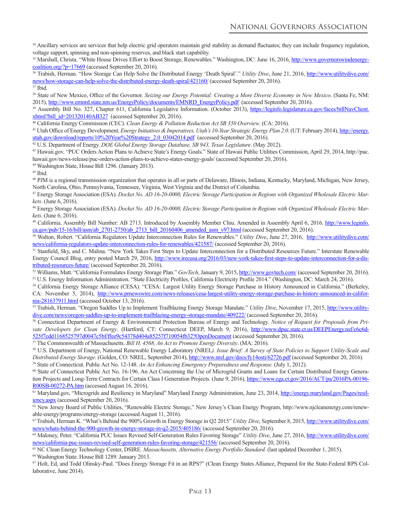<sup>34</sup> Ancillary services are services that help electric grid operators maintain grid stability as demand fluctuates; they can include frequency regulation, voltage support, spinning and non-spinning reserves, and black start capability.

35 [Marshall, Christa. "White House Drives Effort to Boost Storage, Renewables." Washington, DC: June 16, 2016,](http://www.governorswindenergycoalition.org/?p=17669) http://www.governorswindenergycoalition.org/?p=17669 (accessed September 20, 2016). 36 Trabish, Herman*.* "How Storage Can Help Solve the Distributed Energy 'Death Spiral'." *Utility Dive*, June 21, 2016, http://www.utilitydive.com/

[news/how-storage-can-help-solve-the-distributed-energy-death-spiral/421160/ \(accessed September 20, 2016\).](http://www.utilitydive.com/news/how-storage-can-help-solve-the-distributed-energy-death-spiral/421160/)

37 Ibid.

<sup>38</sup> State of New Mexico, Office of the Governor. *Seizing our Energy Potential: Creating a More Diverse Economy in New Mexico*. (Santa Fe, NM: 2015), http://www.emnrd.state.nm.us/EnergyPolicy/documents/EMNRD\_EnergyPolicy.pdf (accessed September 20, 2016).

<sup>39</sup> Assembly Bill No. 327, Chapter 611, California Legislative Information. (October 2013), https://leginfo.legislature.ca.gov/faces/billNavClient.<br>
xhtml?bill id=201320140AB327 (accessed September 20, 2016).

<sup>40</sup> California Energy Commission (CEC). *Clean Energy & Pollution Reduction Act SB 350 Overview*. (CA: 2016).<br><sup>41</sup> Utah Office of Energy Development. *Energy Initiatives & Imperatives, Utah's 10-Year Strategic Energy Plan* [utah.gov/download/reports/10%20Year%20Strategy\\_2.0\\_03042014.pdf \(accessed September 20, 2016\).](http://energy.utah.gov/download/reports/10%20Year%20Strategy_2.0_03042014.pdf)<br><sup>42</sup> U.S. Department of Energy. *DOE Global Energy Storage Database, SB 943, Texas Legislature*. (May 2012).

<sup>43</sup> Hawaii.gov. "PUC Orders Action Plans to Achieve State's Energy Goals." State of Hawaii Public Utilities Commission, April 29, 2014, http://puc. hawaii.gov/news-release/puc-orders-action-plans-to-achieve-states-energy-goals/ (accessed September 20, 2016).

44 Washington State, House Bill 1296. (January 2013).

45 Ibid.

46 PJM is a regional transmission organization that operates in all or parts of Delaware, Illinois, Indiana, Kentucky, Maryland, Michigan, New Jersey, North Carolina, Ohio, Pennsylvania, Tennessee, Virginia, West Virginia and the District of Columbia.

47 Energy Storage Association (ESA). *Docket No. AD 16-20-0000, Electric Storage Participation in Regions with Organized Wholesale Electric Markets*. (June 6, 2016).

48 Energy Storage Association (ESA). *Docket No. AD 16-20-0000, Electric Storage Participation in Regions with Organized Wholesale Electric Markets*. (June 6, 2016).<br><sup>49</sup> California. Assembly Bill Number: AB 2713. Introduced by Assembly Member Chiu. Amended in Assembly April 6, 2016. http://www.leginfo.

ca.gov/pub/15-16/bill/asm/ab\_2701-2750/ab\_2713\_bill\_20160406\_amended\_asm\_v97.html (accessed September 20, 2016).<br><sup>50</sup> Walton, Robert. "California Regulators Update Interconnection Rules for Renewables." *Utility Dive*, Jun

[news/california-regulators-update-interconnection-rules-for-renewables/421587/ \(accessed September 20, 2016\).](http://www.utilitydive.com/news/california-regulators-update-interconnection-rules-for-renewables/421587/)

<sup>51</sup> Stanfield, Sky, and C. Malina. "New York Takes First Steps to Update Interconnection for a Distributed Resources Future." Interstate Renewable Energy Council Blog, entry posted March 29, 2016, [http://www.irecusa.org/2016/03/new-york-takes-first-steps-to-update-interconnection-for-a-dis](http://www.irecusa.org/2016/03/new-york-takes-first-steps-to-update-interconnection-for-a-distributed-resources-future/)-

tributed-resources-future/ (accessed September 20, 2016).<br><sup>52</sup> Williams, Matt. "California Formulates Energy Storage Plan." *GovTech*, January 9, 2015, http://www.govtech.com/ (accessed September 20, 2016).<br><sup>53</sup> U.S. Energ

<sup>54</sup> California Energy Storage Alliance (CESA). "CESA: Largest Utility Energy Storage Purchase in History Announced in California." (Berkeley, [CA: November 5, 2014\), http://www.prnewswire.com/news-releases/cesa-largest-utility-energy-storage-purchase-in-history-announced-in-califor-](http://www.prnewswire.com/news-releases/cesa-largest-utility-energy-storage-purchase-in-history-announced-in-california-281637911.html)

nia-281637911.html (accessed October 13, 2016). 55 Trabish, 100 and the Up to Implement Trailblazing Energy Storage Mandate." *Utility Dive*, November 17, 2015, http://www.utility-<br><sup>55</sup> Trabish, Herman. "Oregon Saddles Up dive.com/news/oregon-saddles-up-to-implement-trailblazing-energy-storage-mandate/409222/ (accessed September 20, 2016).<br><sup>56</sup> Connecticut Department of Energy & Environmental Protection Bureau of Energy and Technology. Noti

*vate Developers for Clean Energy*. (Hartford, CT: Connecticut DEEP, March 9, 2016), http://www.dpuc.state.ct.us/DEEPEnergy.nsf/c6c6d-525f7cdd1168525797d0047c5bf/ffee9c54378d404a85257f710054fb32?OpenDocument [\(accessed September 20, 2016\).](http://www.dpuc.state.ct.us/DEEPEnergy.nsf/c6c6d-525f7cdd1168525797d0047c5bf/ffee9c54378d404a85257f710054fb32?OpenDocument) 57 The Commonwealth of Massachusetts. *Bill H. 4568, An Act to Promote Energy Diversity*. (MA: 2016).

58 U.S. Department of Energy, National Renewable Energy Laboratory (NREL*). Issue Brief: A Survey of State Policies to Support Utility-Scale and*  Distributed-Energy Storage. (Golden, CO: NREL, September 2014), http://www.nrel.gov/docs/fy14osti/62726.pdf (accessed September 20, 2016).<br><sup>59</sup> State of Connecticut. Public Act No. 12-148. An Act Enhancing Emergency Prepar

[tion Projects and Long-Term Contracts for Certain Class I Generation Projects. \(June 9, 2016\), https://www.cga.ct.gov/2016/ACT/pa/2016PA-00196-](https://www.cga.ct.gov/2016/ACT/pa/2016PA-00196-R00SB-00272-PA.htm)

R00SB-00272-PA.htm (accessed August 16, 2016).<br><sup>61</sup> [Maryland.gov, "Microgrids and Resiliency in Maryland" Maryland Energy Administration, June 23, 2014,](http://energy.maryland.gov/Pages/resiliency.aspx) http://energy.maryland.gov/Pages/resiliency.aspx (accessed September 20, 2016).

62 New Jersey Board of Public Utilities, "Renewable Electric Storage," New Jersey's Clean Energy Program, http://www.njcleanenergy.com/renewable-energy/programs/energy-storage (accessed August 11, 2016).

<sup>63</sup> Trabish, Herman K. "What's Behind the 900% Growth in Energy Storage in Q2 2015" *Utility Dive*, September 8, 2015, http://www.utilitydive.com/ [news/whats-behind-the-900-growth-in-energy-storage-in-q2-2015/405186/ \(accessed September 20, 2016\).](http://www.utilitydive.com/news/whats-behind-the-900-growth-in-energy-storage-in-q2-2015/405186/)

<sup>64</sup> Maloney, Peter. "California PUC Issues Revised Self-Generation Rules Favoring Storage" *Utility Dive*, June 27, 2016, http://www.utilitydive.com/ [news/california-puc-issues-revised-self-generation-rules-favoring-storage/421556/ \(accessed September 20, 2016\).](http://www.utilitydive.com/news/california-puc-issues-revised-self-generation-rules-favoring-storage/421556/)

<sup>65</sup> NC Clean Energy Technology Center, DSIRE. *Massachusetts, Alternative Energy Portfolio Standard*. (last updated December 1, 2015). <sup>66</sup> Washington State. House Bill 1289. January 2013.

67 Holt, Ed, and Todd Olinsky-Paul. "Does Energy Storage Fit in an RPS?" (Clean Energy States Alliance, Prepared for the State-Federal RPS Collaborative, June 2014).